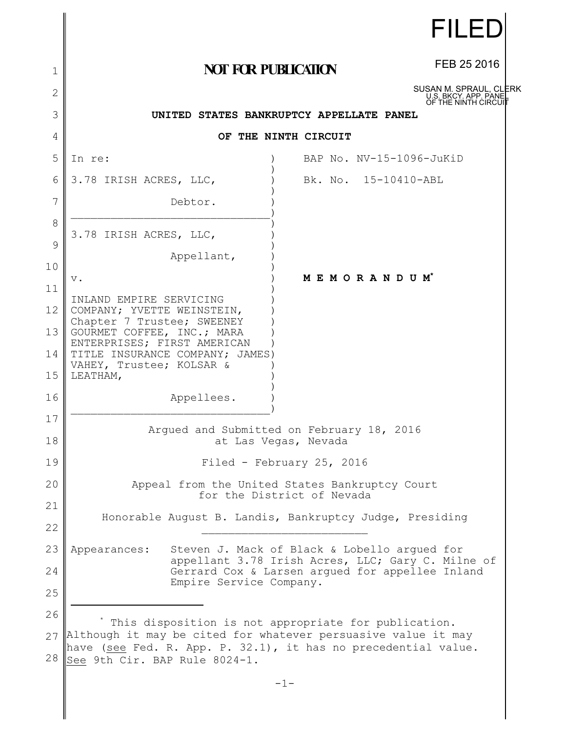| <b>NOT FOR PUBLICATION</b><br>1<br>2<br>3<br>UNITED STATES BANKRUPTCY APPELLATE PANEL<br>4<br>OF THE NINTH CIRCUIT<br>5<br>BAP No. NV-15-1096-JuKiD<br>In re:                | FEB 25 2016<br>SUSAN M. SPRAUL, CLERK<br>U.S. BKCY. APP. PANE<br>OF THE NINTH CIRCUI |
|------------------------------------------------------------------------------------------------------------------------------------------------------------------------------|--------------------------------------------------------------------------------------|
|                                                                                                                                                                              |                                                                                      |
|                                                                                                                                                                              |                                                                                      |
|                                                                                                                                                                              |                                                                                      |
|                                                                                                                                                                              |                                                                                      |
|                                                                                                                                                                              |                                                                                      |
| Bk. No. 15-10410-ABL<br>6<br>3.78 IRISH ACRES, LLC,                                                                                                                          |                                                                                      |
| 7<br>Debtor.                                                                                                                                                                 |                                                                                      |
| 8<br>3.78 IRISH ACRES, LLC,                                                                                                                                                  |                                                                                      |
| 9<br>Appellant,                                                                                                                                                              |                                                                                      |
| 10<br>MEMORANDUM*<br>$\mathbf v$ .<br>11                                                                                                                                     |                                                                                      |
| INLAND EMPIRE SERVICING<br>12<br>COMPANY; YVETTE WEINSTEIN,                                                                                                                  |                                                                                      |
| Chapter 7 Trustee; SWEENEY<br>13<br>GOURMET COFFEE, INC.; MARA                                                                                                               |                                                                                      |
| ENTERPRISES; FIRST AMERICAN<br>TITLE INSURANCE COMPANY; JAMES)<br>14                                                                                                         |                                                                                      |
| VAHEY, Trustee; KOLSAR &<br>15<br>LEATHAM,                                                                                                                                   |                                                                                      |
| 16<br>Appellees.                                                                                                                                                             |                                                                                      |
| 17                                                                                                                                                                           |                                                                                      |
| Argued and Submitted on February 18, 2016<br>18<br>at Las Vegas, Nevada                                                                                                      |                                                                                      |
| 19<br>Filed - February 25, 2016                                                                                                                                              |                                                                                      |
| 20<br>Appeal from the United States Bankruptcy Court<br>for the District of Nevada                                                                                           |                                                                                      |
| 21<br>Honorable August B. Landis, Bankruptcy Judge, Presiding                                                                                                                |                                                                                      |
| 22                                                                                                                                                                           |                                                                                      |
| 23<br>Steven J. Mack of Black & Lobello arqued for<br>Appearances:<br>appellant 3.78 Irish Acres, LLC; Gary C. Milne of                                                      |                                                                                      |
| 24<br>Gerrard Cox & Larsen argued for appellee Inland<br>Empire Service Company.                                                                                             |                                                                                      |
| 25                                                                                                                                                                           |                                                                                      |
| 26<br>This disposition is not appropriate for publication.                                                                                                                   |                                                                                      |
| Although it may be cited for whatever persuasive value it may<br>27<br>have (see Fed. R. App. P. 32.1), it has no precedential value.<br>28<br>See 9th Cir. BAP Rule 8024-1. |                                                                                      |

∥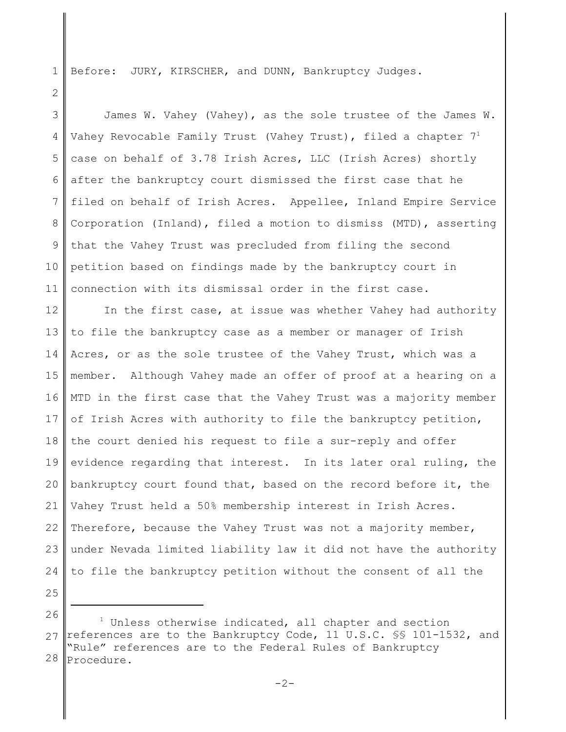Before: JURY, KIRSCHER, and DUNN, Bankruptcy Judges.

3 4 5 6 7 8 9 10 11 James W. Vahey (Vahey), as the sole trustee of the James W. Vahey Revocable Family Trust (Vahey Trust), filed a chapter  $7<sup>1</sup>$ case on behalf of 3.78 Irish Acres, LLC (Irish Acres) shortly after the bankruptcy court dismissed the first case that he filed on behalf of Irish Acres. Appellee, Inland Empire Service Corporation (Inland), filed a motion to dismiss (MTD), asserting that the Vahey Trust was precluded from filing the second petition based on findings made by the bankruptcy court in connection with its dismissal order in the first case.

12 13 14 15 16 17 18 19 20 21 22 23 24 In the first case, at issue was whether Vahey had authority to file the bankruptcy case as a member or manager of Irish Acres, or as the sole trustee of the Vahey Trust, which was a member. Although Vahey made an offer of proof at a hearing on a MTD in the first case that the Vahey Trust was a majority member of Irish Acres with authority to file the bankruptcy petition, the court denied his request to file a sur-reply and offer evidence regarding that interest. In its later oral ruling, the bankruptcy court found that, based on the record before it, the Vahey Trust held a 50% membership interest in Irish Acres. Therefore, because the Vahey Trust was not a majority member, under Nevada limited liability law it did not have the authority to file the bankruptcy petition without the consent of all the

25

1

<sup>26</sup> 27 28 <sup>1</sup> Unless otherwise indicated, all chapter and section references are to the Bankruptcy Code, 11 U.S.C. §§ 101-1532, and "Rule" references are to the Federal Rules of Bankruptcy Procedure.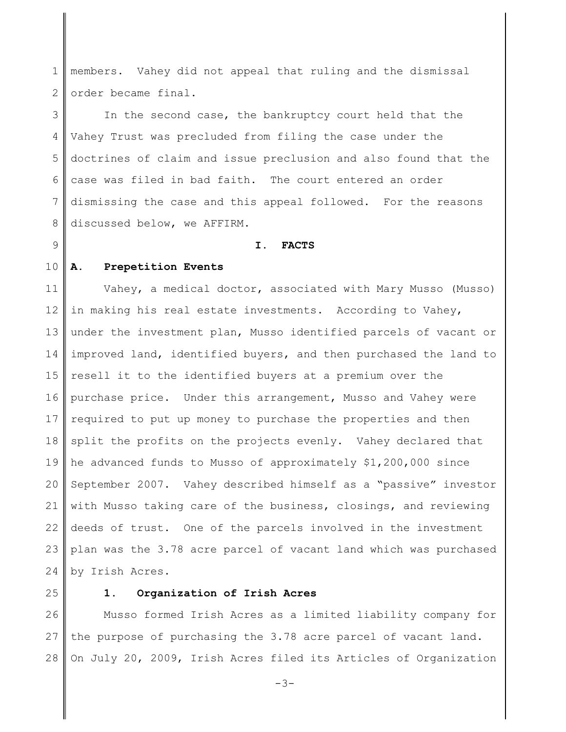1 2 members. Vahey did not appeal that ruling and the dismissal order became final.

3 4 5 6 7 8 In the second case, the bankruptcy court held that the Vahey Trust was precluded from filing the case under the doctrines of claim and issue preclusion and also found that the case was filed in bad faith. The court entered an order dismissing the case and this appeal followed. For the reasons discussed below, we AFFIRM.

#### **I. FACTS**

10 **A. Prepetition Events**

9

11 12 13 14 15 16 17 18 19 20 21 22 23 24 Vahey, a medical doctor, associated with Mary Musso (Musso) in making his real estate investments. According to Vahey, under the investment plan, Musso identified parcels of vacant or improved land, identified buyers, and then purchased the land to resell it to the identified buyers at a premium over the purchase price. Under this arrangement, Musso and Vahey were required to put up money to purchase the properties and then split the profits on the projects evenly. Vahey declared that he advanced funds to Musso of approximately \$1,200,000 since September 2007. Vahey described himself as a "passive" investor with Musso taking care of the business, closings, and reviewing deeds of trust. One of the parcels involved in the investment plan was the 3.78 acre parcel of vacant land which was purchased by Irish Acres.

25

#### **1. Organization of Irish Acres**

26 27 28 Musso formed Irish Acres as a limited liability company for the purpose of purchasing the 3.78 acre parcel of vacant land. On July 20, 2009, Irish Acres filed its Articles of Organization

-3-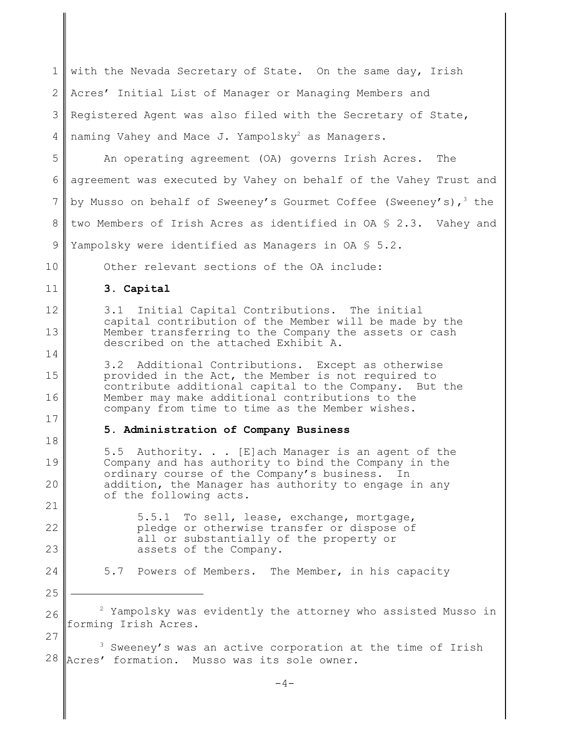| $\mathbf 1$    | with the Nevada Secretary of State. On the same day, Irish                                                                                                    |
|----------------|---------------------------------------------------------------------------------------------------------------------------------------------------------------|
| $\overline{2}$ | Acres' Initial List of Manager or Managing Members and                                                                                                        |
| 3              | Registered Agent was also filed with the Secretary of State,                                                                                                  |
| 4              | naming Vahey and Mace J. Yampolsky <sup>2</sup> as Managers.                                                                                                  |
| 5              | An operating agreement (OA) governs Irish Acres.<br>The                                                                                                       |
| 6              | agreement was executed by Vahey on behalf of the Vahey Trust and                                                                                              |
| $\overline{7}$ | by Musso on behalf of Sweeney's Gourmet Coffee (Sweeney's), <sup>3</sup> the                                                                                  |
| 8              | two Members of Irish Acres as identified in $OA \S 2.3$ . Vahey and                                                                                           |
| $\mathcal{G}$  | Yampolsky were identified as Managers in OA § 5.2.                                                                                                            |
| 10             | Other relevant sections of the OA include:                                                                                                                    |
| 11             | 3. Capital                                                                                                                                                    |
| 12             | Initial Capital Contributions. The initial<br>3.1<br>capital contribution of the Member will be made by the                                                   |
| 13             | Member transferring to the Company the assets or cash<br>described on the attached Exhibit A.                                                                 |
| 14             | 3.2 Additional Contributions. Except as otherwise                                                                                                             |
|                |                                                                                                                                                               |
| 15             | provided in the Act, the Member is not required to<br>contribute additional capital to the Company. But the                                                   |
| 16             | Member may make additional contributions to the<br>company from time to time as the Member wishes.                                                            |
| 17             | 5. Administration of Company Business                                                                                                                         |
| 18             | 5.5 Authority. [E]ach Manager is an agent of the                                                                                                              |
| 19<br>20       | Company and has authority to bind the Company in the<br>ordinary course of the Company's business. In<br>addition, the Manager has authority to engage in any |
| 21             | of the following acts.                                                                                                                                        |
| 22             | To sell, lease, exchange, mortgage,<br>5.5.1<br>pledge or otherwise transfer or dispose of                                                                    |
| 23             | all or substantially of the property or<br>assets of the Company.                                                                                             |
| 24             | 5.7 Powers of Members. The Member, in his capacity                                                                                                            |
| 25             |                                                                                                                                                               |
| 26             | Yampolsky was evidently the attorney who assisted Musso in                                                                                                    |
| 27             | forming Irish Acres.<br>Sweeney's was an active corporation at the time of Irish                                                                              |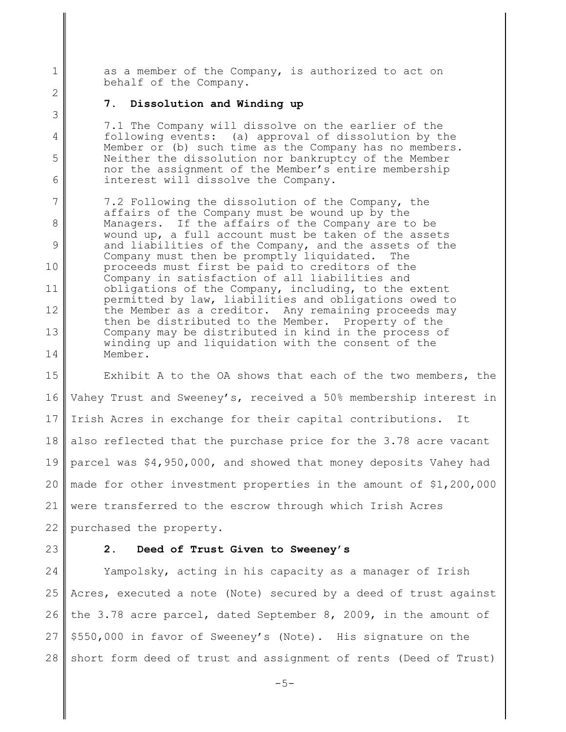as a member of the Company, is authorized to act on behalf of the Company.

#### **7. Dissolution and Winding up**

7.1 The Company will dissolve on the earlier of the following events: (a) approval of dissolution by the Member or (b) such time as the Company has no members. Neither the dissolution nor bankruptcy of the Member nor the assignment of the Member's entire membership interest will dissolve the Company.

7 8 9 10 11 12 13 14 7.2 Following the dissolution of the Company, the affairs of the Company must be wound up by the Managers. If the affairs of the Company are to be wound up, a full account must be taken of the assets and liabilities of the Company, and the assets of the Company must then be promptly liquidated. The proceeds must first be paid to creditors of the Company in satisfaction of all liabilities and obligations of the Company, including, to the extent permitted by law, liabilities and obligations owed to the Member as a creditor. Any remaining proceeds may then be distributed to the Member. Property of the Company may be distributed in kind in the process of winding up and liquidation with the consent of the Member.

15 16 17 18 19 20 21 22 Exhibit A to the OA shows that each of the two members, the Vahey Trust and Sweeney's, received a 50% membership interest in Irish Acres in exchange for their capital contributions. It also reflected that the purchase price for the 3.78 acre vacant parcel was \$4,950,000, and showed that money deposits Vahey had made for other investment properties in the amount of \$1,200,000 were transferred to the escrow through which Irish Acres purchased the property.

23

1

2

3

4

5

6

### **2. Deed of Trust Given to Sweeney's**

24 25 26 27 28 Yampolsky, acting in his capacity as a manager of Irish Acres, executed a note (Note) secured by a deed of trust against the 3.78 acre parcel, dated September 8, 2009, in the amount of \$550,000 in favor of Sweeney's (Note). His signature on the short form deed of trust and assignment of rents (Deed of Trust)

-5-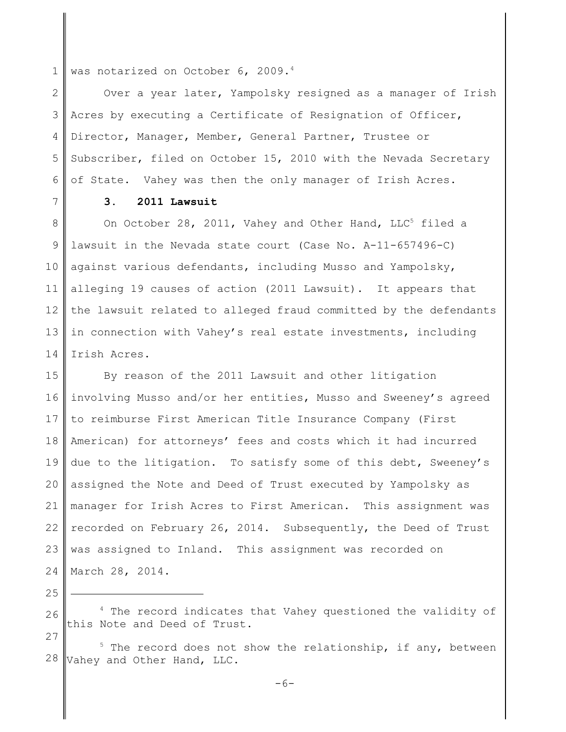1 was notarized on October 6, 2009.<sup>4</sup>

2 3 4 5 6 Over a year later, Yampolsky resigned as a manager of Irish Acres by executing a Certificate of Resignation of Officer, Director, Manager, Member, General Partner, Trustee or Subscriber, filed on October 15, 2010 with the Nevada Secretary of State. Vahey was then the only manager of Irish Acres.

7

# **3. 2011 Lawsuit**

8 9 10 11 12 13 14 On October 28, 2011, Vahey and Other Hand, LLC<sup>5</sup> filed a lawsuit in the Nevada state court (Case No. A-11-657496-C) against various defendants, including Musso and Yampolsky, alleging 19 causes of action (2011 Lawsuit). It appears that the lawsuit related to alleged fraud committed by the defendants in connection with Vahey's real estate investments, including Irish Acres.

15 16 17 18 19 20 21 22 23 24 By reason of the 2011 Lawsuit and other litigation involving Musso and/or her entities, Musso and Sweeney's agreed to reimburse First American Title Insurance Company (First American) for attorneys' fees and costs which it had incurred due to the litigation. To satisfy some of this debt, Sweeney's assigned the Note and Deed of Trust executed by Yampolsky as manager for Irish Acres to First American. This assignment was recorded on February 26, 2014. Subsequently, the Deed of Trust was assigned to Inland. This assignment was recorded on March 28, 2014.

25

<sup>26</sup> <sup>4</sup> The record indicates that Vahey questioned the validity of this Note and Deed of Trust.

<sup>28</sup>  $5$  The record does not show the relationship, if any, between Vahey and Other Hand, LLC.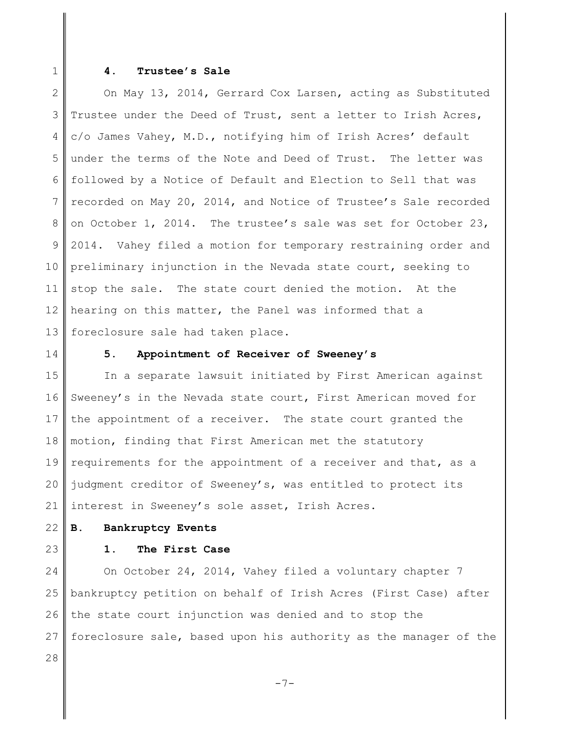1

#### **4. Trustee's Sale**

2 3 4 5 6 7 8 9 10 11 12 13 On May 13, 2014, Gerrard Cox Larsen, acting as Substituted Trustee under the Deed of Trust, sent a letter to Irish Acres, c/o James Vahey, M.D., notifying him of Irish Acres' default under the terms of the Note and Deed of Trust. The letter was followed by a Notice of Default and Election to Sell that was recorded on May 20, 2014, and Notice of Trustee's Sale recorded on October 1, 2014. The trustee's sale was set for October 23, 2014. Vahey filed a motion for temporary restraining order and preliminary injunction in the Nevada state court, seeking to stop the sale. The state court denied the motion. At the hearing on this matter, the Panel was informed that a foreclosure sale had taken place.

14

#### **5. Appointment of Receiver of Sweeney's**

15 16 17 18 19 20 21 In a separate lawsuit initiated by First American against Sweeney's in the Nevada state court, First American moved for the appointment of a receiver. The state court granted the motion, finding that First American met the statutory requirements for the appointment of a receiver and that, as a judgment creditor of Sweeney's, was entitled to protect its interest in Sweeney's sole asset, Irish Acres.

- 22 **B. Bankruptcy Events**
- 23

## **1. The First Case**

24 25 26 27 28 On October 24, 2014, Vahey filed a voluntary chapter 7 bankruptcy petition on behalf of Irish Acres (First Case) after the state court injunction was denied and to stop the foreclosure sale, based upon his authority as the manager of the

-7-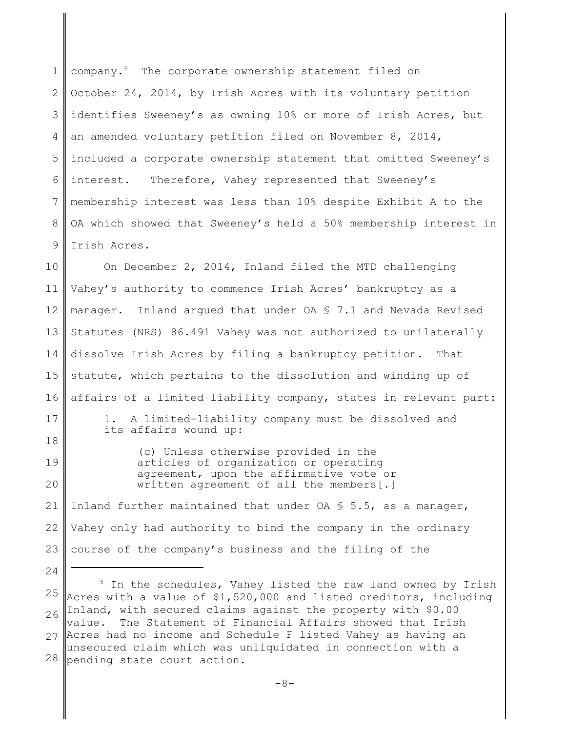1 2 3 4 5 6 7 8 9 company.<sup>6</sup> The corporate ownership statement filed on October 24, 2014, by Irish Acres with its voluntary petition identifies Sweeney's as owning 10% or more of Irish Acres, but an amended voluntary petition filed on November 8, 2014, included a corporate ownership statement that omitted Sweeney's interest. Therefore, Vahey represented that Sweeney's membership interest was less than 10% despite Exhibit A to the OA which showed that Sweeney's held a 50% membership interest in Irish Acres.

10 11 12 13 14 15 16 17 18 19 20 21 22 23 24 On December 2, 2014, Inland filed the MTD challenging Vahey's authority to commence Irish Acres' bankruptcy as a manager. Inland argued that under OA § 7.1 and Nevada Revised Statutes (NRS) 86.491 Vahey was not authorized to unilaterally dissolve Irish Acres by filing a bankruptcy petition. That statute, which pertains to the dissolution and winding up of affairs of a limited liability company, states in relevant part: 1. A limited-liability company must be dissolved and its affairs wound up: (c) Unless otherwise provided in the articles of organization or operating agreement, upon the affirmative vote or written agreement of all the members[.] Inland further maintained that under  $\overline{OA} \$  5.5, as a manager, Vahey only had authority to bind the company in the ordinary course of the company's business and the filing of the

25 26 27 Acres had no income and Schedule F listed Vahey as having an 28  $6$  In the schedules, Vahey listed the raw land owned by Irish Acres with a value of \$1,520,000 and listed creditors, including Inland, with secured claims against the property with \$0.00 value. The Statement of Financial Affairs showed that Irish unsecured claim which was unliquidated in connection with a pending state court action.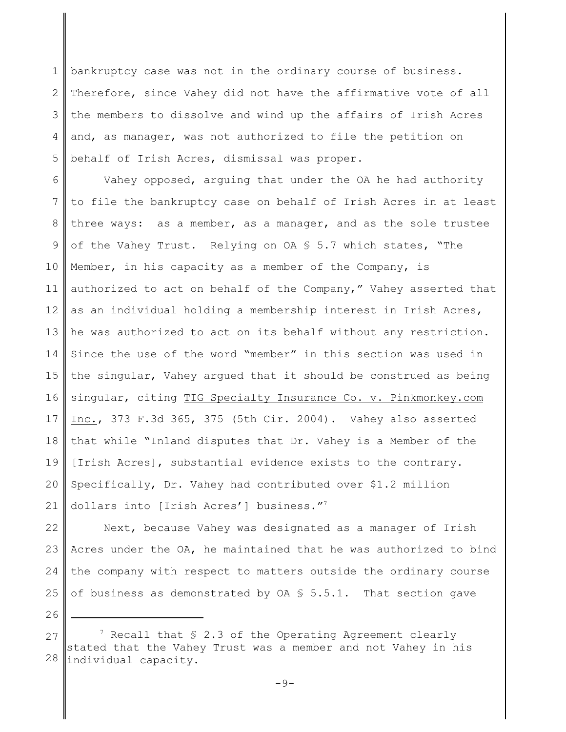1 2 3 4 5 bankruptcy case was not in the ordinary course of business. Therefore, since Vahey did not have the affirmative vote of all the members to dissolve and wind up the affairs of Irish Acres and, as manager, was not authorized to file the petition on behalf of Irish Acres, dismissal was proper.

6 7 8 9 10 11 12 13 14 15 16 17 18 19 20 21 Vahey opposed, arguing that under the OA he had authority to file the bankruptcy case on behalf of Irish Acres in at least three ways: as a member, as a manager, and as the sole trustee of the Vahey Trust. Relying on OA § 5.7 which states, "The Member, in his capacity as a member of the Company, is authorized to act on behalf of the Company," Vahey asserted that as an individual holding a membership interest in Irish Acres, he was authorized to act on its behalf without any restriction. Since the use of the word "member" in this section was used in the singular, Vahey argued that it should be construed as being singular, citing TIG Specialty Insurance Co. v. Pinkmonkey.com Inc., 373 F.3d 365, 375 (5th Cir. 2004). Vahey also asserted that while "Inland disputes that Dr. Vahey is a Member of the [Irish Acres], substantial evidence exists to the contrary. Specifically, Dr. Vahey had contributed over \$1.2 million dollars into [Irish Acres'] business."<sup>7</sup>

22 23 24 25 Next, because Vahey was designated as a manager of Irish Acres under the OA, he maintained that he was authorized to bind the company with respect to matters outside the ordinary course of business as demonstrated by  $OA \S 5.5.1$ . That section gave

27 28  $7$  Recall that  $$ 2.3$  of the Operating Agreement clearly stated that the Vahey Trust was a member and not Vahey in his individual capacity.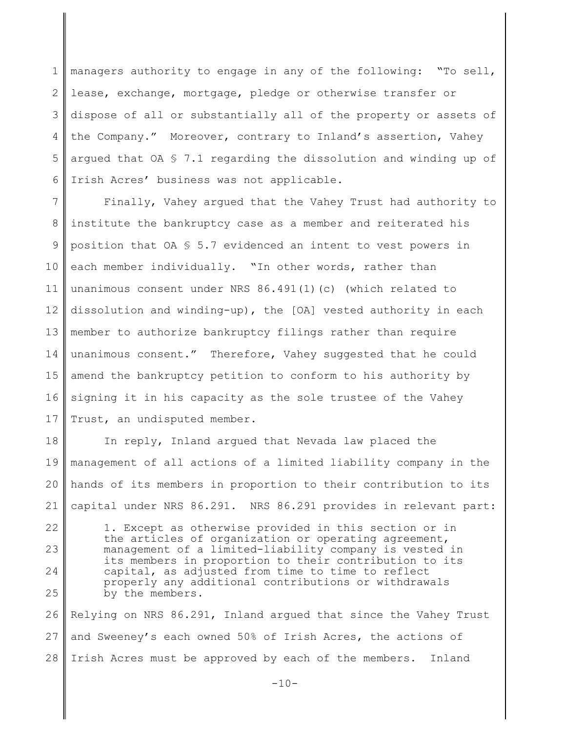1 2 3 4 5 6 managers authority to engage in any of the following: "To sell, lease, exchange, mortgage, pledge or otherwise transfer or dispose of all or substantially all of the property or assets of the Company." Moreover, contrary to Inland's assertion, Vahey argued that OA  $\frac{6}{5}$  7.1 regarding the dissolution and winding up of Irish Acres' business was not applicable.

7 8 9 10 11 12 13 14 15 16 17 Finally, Vahey argued that the Vahey Trust had authority to institute the bankruptcy case as a member and reiterated his position that OA § 5.7 evidenced an intent to vest powers in each member individually. "In other words, rather than unanimous consent under NRS 86.491(1)(c) (which related to dissolution and winding-up), the [OA] vested authority in each member to authorize bankruptcy filings rather than require unanimous consent." Therefore, Vahey suggested that he could amend the bankruptcy petition to conform to his authority by signing it in his capacity as the sole trustee of the Vahey Trust, an undisputed member.

18 19 20 21 In reply, Inland argued that Nevada law placed the management of all actions of a limited liability company in the hands of its members in proportion to their contribution to its capital under NRS 86.291. NRS 86.291 provides in relevant part:

22 23 24 25 1. Except as otherwise provided in this section or in the articles of organization or operating agreement, management of a limited-liability company is vested in its members in proportion to their contribution to its capital, as adjusted from time to time to reflect properly any additional contributions or withdrawals by the members.

26 27 28 Relying on NRS 86.291, Inland argued that since the Vahey Trust and Sweeney's each owned 50% of Irish Acres, the actions of Irish Acres must be approved by each of the members. Inland

 $-10-$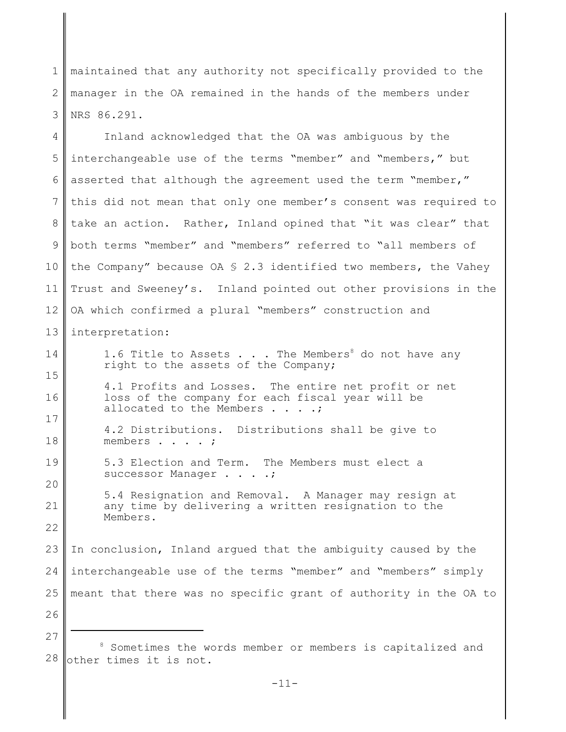1 2 3 maintained that any authority not specifically provided to the manager in the OA remained in the hands of the members under NRS 86.291.

4 5 6 7 8 9 10 11 12 13 14 15 16 17 18 19 20 21 22 23 24 25 26 Inland acknowledged that the OA was ambiguous by the interchangeable use of the terms "member" and "members," but asserted that although the agreement used the term "member," this did not mean that only one member's consent was required to take an action. Rather, Inland opined that "it was clear" that both terms "member" and "members" referred to "all members of the Company" because  $0A \S 2.3$  identified two members, the Vahey Trust and Sweeney's. Inland pointed out other provisions in the OA which confirmed a plural "members" construction and interpretation: 1.6 Title to Assets  $\ldots$  . The Members<sup>8</sup> do not have any right to the assets of the Company; 4.1 Profits and Losses. The entire net profit or net loss of the company for each fiscal year will be allocated to the Members . . . .; 4.2 Distributions. Distributions shall be give to members . . . . ; 5.3 Election and Term. The Members must elect a successor Manager . . . .; 5.4 Resignation and Removal. A Manager may resign at any time by delivering a written resignation to the Members. In conclusion, Inland argued that the ambiguity caused by the interchangeable use of the terms "member" and "members" simply meant that there was no specific grant of authority in the OA to

<sup>28</sup> <sup>8</sup> Sometimes the words member or members is capitalized and other times it is not.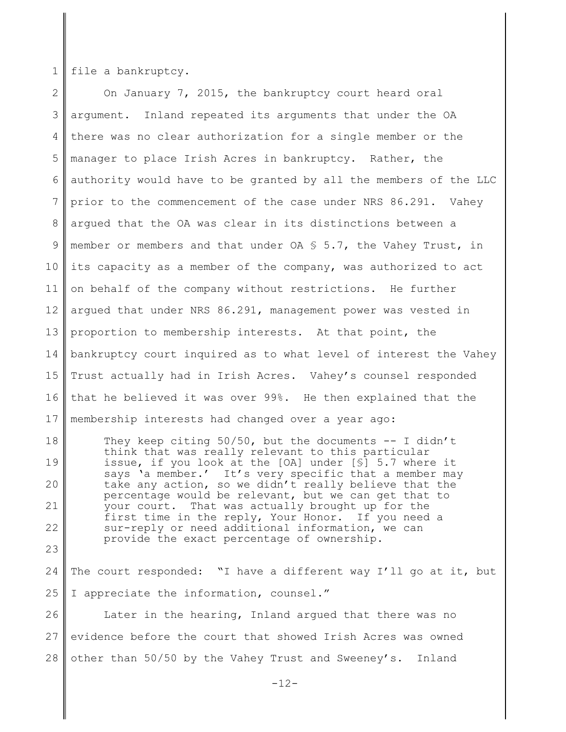1 file a bankruptcy.

2 3 4 5 6 7 8 9 10 11 12 13 14 15 16 17 On January 7, 2015, the bankruptcy court heard oral argument. Inland repeated its arguments that under the OA there was no clear authorization for a single member or the manager to place Irish Acres in bankruptcy. Rather, the authority would have to be granted by all the members of the LLC prior to the commencement of the case under NRS 86.291. Vahey argued that the OA was clear in its distinctions between a member or members and that under  $OA \S 5.7$ , the Vahey Trust, in its capacity as a member of the company, was authorized to act on behalf of the company without restrictions. He further argued that under NRS 86.291, management power was vested in proportion to membership interests. At that point, the bankruptcy court inquired as to what level of interest the Vahey Trust actually had in Irish Acres. Vahey's counsel responded that he believed it was over 99%. He then explained that the membership interests had changed over a year ago:

18 19 20 21 22 23 They keep citing  $50/50$ , but the documents  $-$  I didn't think that was really relevant to this particular issue, if you look at the [OA] under [§] 5.7 where it says 'a member.' It's very specific that a member may take any action, so we didn't really believe that the percentage would be relevant, but we can get that to your court. That was actually brought up for the first time in the reply, Your Honor. If you need a sur-reply or need additional information, we can provide the exact percentage of ownership.

24 25 The court responded: "I have a different way I'll go at it, but I appreciate the information, counsel."

26 27 28 Later in the hearing, Inland argued that there was no evidence before the court that showed Irish Acres was owned other than 50/50 by the Vahey Trust and Sweeney's. Inland

 $-12-$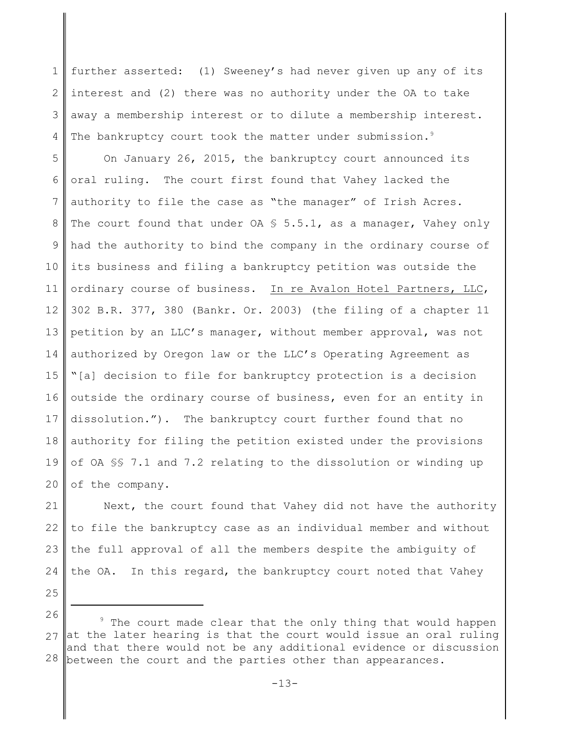1 2 3 4 further asserted: (1) Sweeney's had never given up any of its interest and (2) there was no authority under the OA to take away a membership interest or to dilute a membership interest. The bankruptcy court took the matter under submission.<sup>9</sup>

5 6 7 8 9 10 11 12 13 14 15 16 17 18 19 20 On January 26, 2015, the bankruptcy court announced its oral ruling. The court first found that Vahey lacked the authority to file the case as "the manager" of Irish Acres. The court found that under  $OA S 5.5.1$ , as a manager, Vahey only had the authority to bind the company in the ordinary course of its business and filing a bankruptcy petition was outside the ordinary course of business. In re Avalon Hotel Partners, LLC, 302 B.R. 377, 380 (Bankr. Or. 2003) (the filing of a chapter 11 petition by an LLC's manager, without member approval, was not authorized by Oregon law or the LLC's Operating Agreement as "[a] decision to file for bankruptcy protection is a decision outside the ordinary course of business, even for an entity in dissolution."). The bankruptcy court further found that no authority for filing the petition existed under the provisions of OA §§ 7.1 and 7.2 relating to the dissolution or winding up of the company.

21 22 23 24 Next, the court found that Vahey did not have the authority to file the bankruptcy case as an individual member and without the full approval of all the members despite the ambiguity of the OA. In this regard, the bankruptcy court noted that Vahey

<sup>26</sup> 27 at the later hearing is that the court would issue an oral ruling 28 <sup>9</sup> The court made clear that the only thing that would happen and that there would not be any additional evidence or discussion between the court and the parties other than appearances.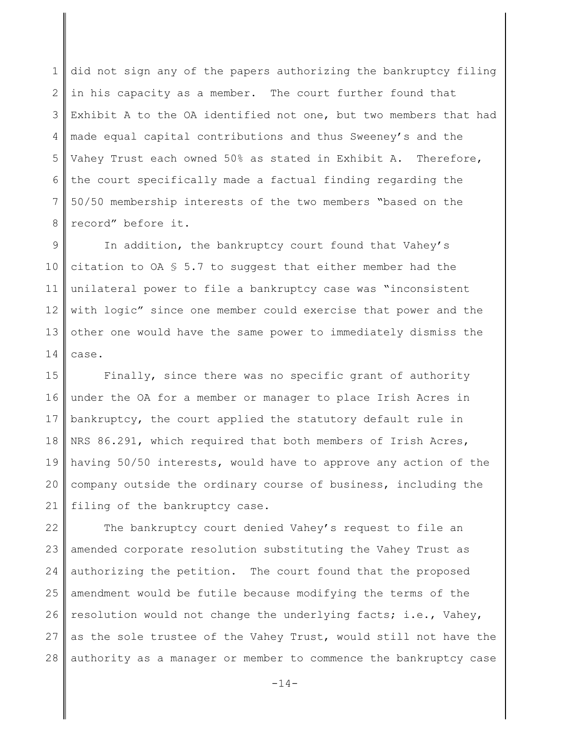1 2 3 4 5 6 7 8 did not sign any of the papers authorizing the bankruptcy filing in his capacity as a member. The court further found that Exhibit A to the OA identified not one, but two members that had made equal capital contributions and thus Sweeney's and the Vahey Trust each owned 50% as stated in Exhibit A. Therefore, the court specifically made a factual finding regarding the 50/50 membership interests of the two members "based on the record" before it.

9 10 11 12 13 14 In addition, the bankruptcy court found that Vahey's citation to OA  $S$  5.7 to suggest that either member had the unilateral power to file a bankruptcy case was "inconsistent with logic" since one member could exercise that power and the other one would have the same power to immediately dismiss the case.

15 16 17 18 19 20 21 Finally, since there was no specific grant of authority under the OA for a member or manager to place Irish Acres in bankruptcy, the court applied the statutory default rule in NRS 86.291, which required that both members of Irish Acres, having 50/50 interests, would have to approve any action of the company outside the ordinary course of business, including the filing of the bankruptcy case.

22 23 24 25 26 27 28 The bankruptcy court denied Vahey's request to file an amended corporate resolution substituting the Vahey Trust as authorizing the petition. The court found that the proposed amendment would be futile because modifying the terms of the resolution would not change the underlying facts; i.e., Vahey, as the sole trustee of the Vahey Trust, would still not have the authority as a manager or member to commence the bankruptcy case

 $-14-$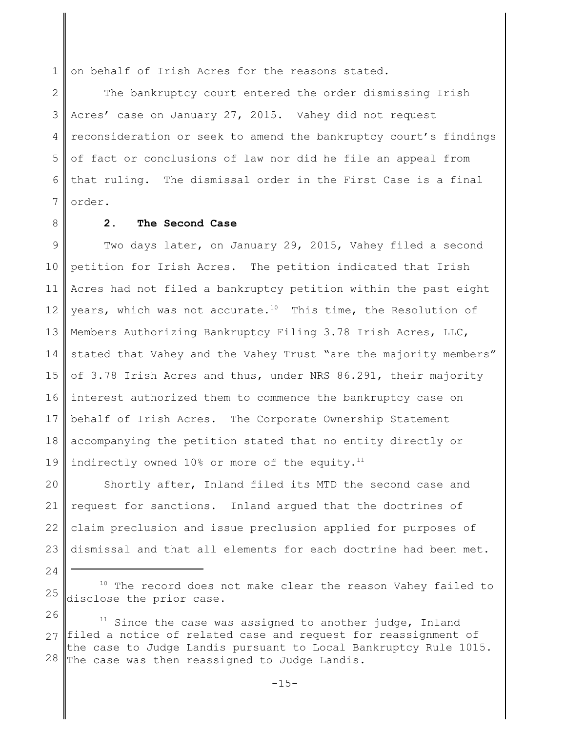1 on behalf of Irish Acres for the reasons stated.

2 3 4 5 6 7 The bankruptcy court entered the order dismissing Irish Acres' case on January 27, 2015. Vahey did not request reconsideration or seek to amend the bankruptcy court's findings of fact or conclusions of law nor did he file an appeal from that ruling. The dismissal order in the First Case is a final order.

8

# **2. The Second Case**

9 10 11 12 13 14 15 16 17 18 19 Two days later, on January 29, 2015, Vahey filed a second petition for Irish Acres. The petition indicated that Irish Acres had not filed a bankruptcy petition within the past eight years, which was not accurate.<sup>10</sup> This time, the Resolution of Members Authorizing Bankruptcy Filing 3.78 Irish Acres, LLC, stated that Vahey and the Vahey Trust "are the majority members" of 3.78 Irish Acres and thus, under NRS 86.291, their majority interest authorized them to commence the bankruptcy case on behalf of Irish Acres. The Corporate Ownership Statement accompanying the petition stated that no entity directly or indirectly owned 10% or more of the equity.<sup>11</sup>

20 21 22 23 Shortly after, Inland filed its MTD the second case and request for sanctions. Inland argued that the doctrines of claim preclusion and issue preclusion applied for purposes of dismissal and that all elements for each doctrine had been met.

<sup>25</sup> <sup>10</sup> The record does not make clear the reason Vahey failed to disclose the prior case.

<sup>26</sup> 27 filed a notice of related case and request for reassignment of 28  $11$  Since the case was assigned to another judge, Inland the case to Judge Landis pursuant to Local Bankruptcy Rule 1015. The case was then reassigned to Judge Landis.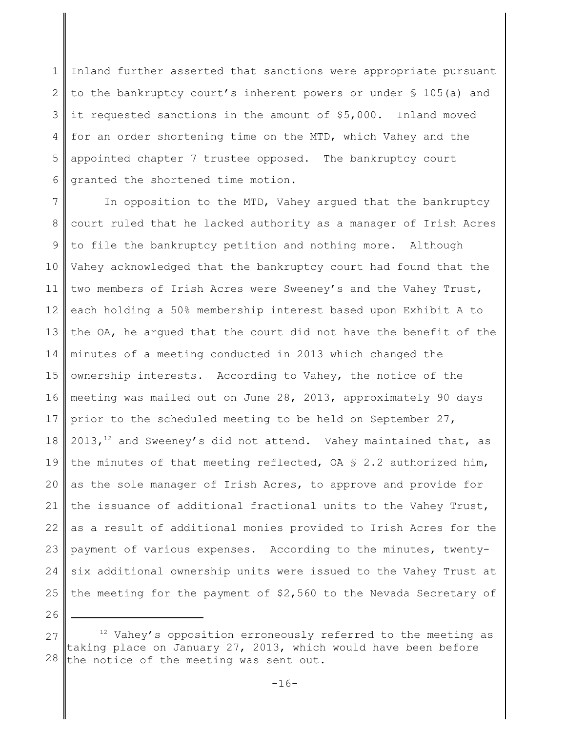1 2 3 4 5 6 Inland further asserted that sanctions were appropriate pursuant to the bankruptcy court's inherent powers or under § 105(a) and it requested sanctions in the amount of \$5,000. Inland moved for an order shortening time on the MTD, which Vahey and the appointed chapter 7 trustee opposed. The bankruptcy court granted the shortened time motion.

7 8 9 10 11 12 13 14 15 16 17 18 19 20 21 22 23 24 25 In opposition to the MTD, Vahey argued that the bankruptcy court ruled that he lacked authority as a manager of Irish Acres to file the bankruptcy petition and nothing more. Although Vahey acknowledged that the bankruptcy court had found that the two members of Irish Acres were Sweeney's and the Vahey Trust, each holding a 50% membership interest based upon Exhibit A to the OA, he argued that the court did not have the benefit of the minutes of a meeting conducted in 2013 which changed the ownership interests. According to Vahey, the notice of the meeting was mailed out on June 28, 2013, approximately 90 days prior to the scheduled meeting to be held on September 27,  $2013,$ <sup>12</sup> and Sweeney's did not attend. Vahey maintained that, as the minutes of that meeting reflected, OA  $S$  2.2 authorized him, as the sole manager of Irish Acres, to approve and provide for the issuance of additional fractional units to the Vahey Trust, as a result of additional monies provided to Irish Acres for the payment of various expenses. According to the minutes, twentysix additional ownership units were issued to the Vahey Trust at the meeting for the payment of \$2,560 to the Nevada Secretary of

<sup>27</sup> 28  $12$  Vahey's opposition erroneously referred to the meeting as taking place on January 27, 2013, which would have been before the notice of the meeting was sent out.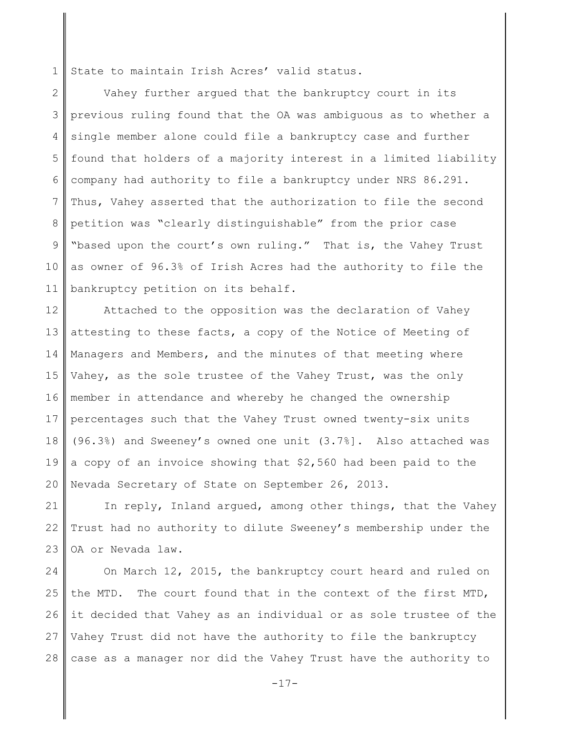1 State to maintain Irish Acres' valid status.

2 3 4 5 6 7 8 9 10 11 Vahey further argued that the bankruptcy court in its previous ruling found that the OA was ambiguous as to whether a single member alone could file a bankruptcy case and further found that holders of a majority interest in a limited liability company had authority to file a bankruptcy under NRS 86.291. Thus, Vahey asserted that the authorization to file the second petition was "clearly distinguishable" from the prior case "based upon the court's own ruling." That is, the Vahey Trust as owner of 96.3% of Irish Acres had the authority to file the bankruptcy petition on its behalf.

12 13 14 15 16 17 18 19 20 Attached to the opposition was the declaration of Vahey attesting to these facts, a copy of the Notice of Meeting of Managers and Members, and the minutes of that meeting where Vahey, as the sole trustee of the Vahey Trust, was the only member in attendance and whereby he changed the ownership percentages such that the Vahey Trust owned twenty-six units (96.3%) and Sweeney's owned one unit (3.7%]. Also attached was a copy of an invoice showing that \$2,560 had been paid to the Nevada Secretary of State on September 26, 2013.

21 22 23 In reply, Inland argued, among other things, that the Vahey Trust had no authority to dilute Sweeney's membership under the OA or Nevada law.

24 25 26 27 28 On March 12, 2015, the bankruptcy court heard and ruled on the MTD. The court found that in the context of the first MTD, it decided that Vahey as an individual or as sole trustee of the Vahey Trust did not have the authority to file the bankruptcy case as a manager nor did the Vahey Trust have the authority to

-17-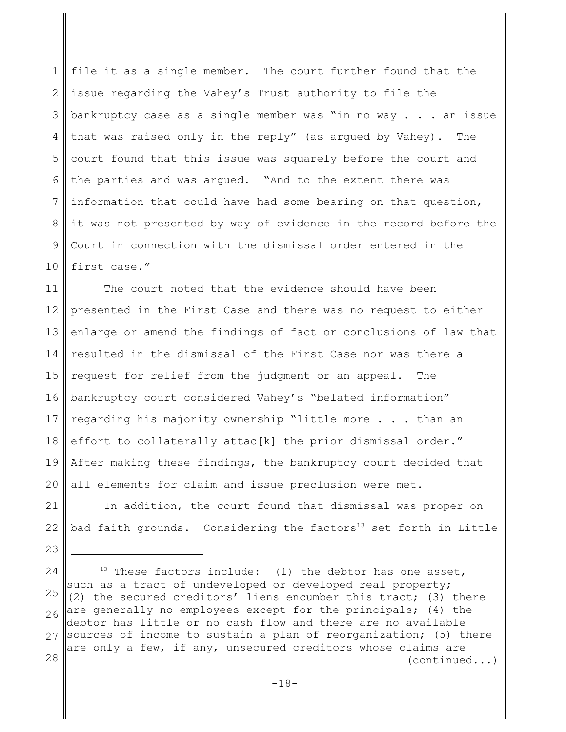1 2 3 4 5 6 7 8 9 10 file it as a single member. The court further found that the issue regarding the Vahey's Trust authority to file the bankruptcy case as a single member was "in no way . . . an issue that was raised only in the reply" (as argued by Vahey). The court found that this issue was squarely before the court and the parties and was argued. "And to the extent there was information that could have had some bearing on that question, it was not presented by way of evidence in the record before the Court in connection with the dismissal order entered in the first case."

11 12 13 14 15 16 17 18 19 20 The court noted that the evidence should have been presented in the First Case and there was no request to either enlarge or amend the findings of fact or conclusions of law that resulted in the dismissal of the First Case nor was there a request for relief from the judgment or an appeal. The bankruptcy court considered Vahey's "belated information" regarding his majority ownership "little more . . . than an effort to collaterally attac[k] the prior dismissal order." After making these findings, the bankruptcy court decided that all elements for claim and issue preclusion were met.

21 22 In addition, the court found that dismissal was proper on bad faith grounds. Considering the factors<sup>13</sup> set forth in Little

23

24 25 26 27 Sources of income to sustain a plan of reorganization; (5) there 28  $13$  These factors include: (1) the debtor has one asset, such as a tract of undeveloped or developed real property; (2) the secured creditors' liens encumber this tract; (3) there are generally no employees except for the principals; (4) the debtor has little or no cash flow and there are no available are only a few, if any, unsecured creditors whose claims are (continued...)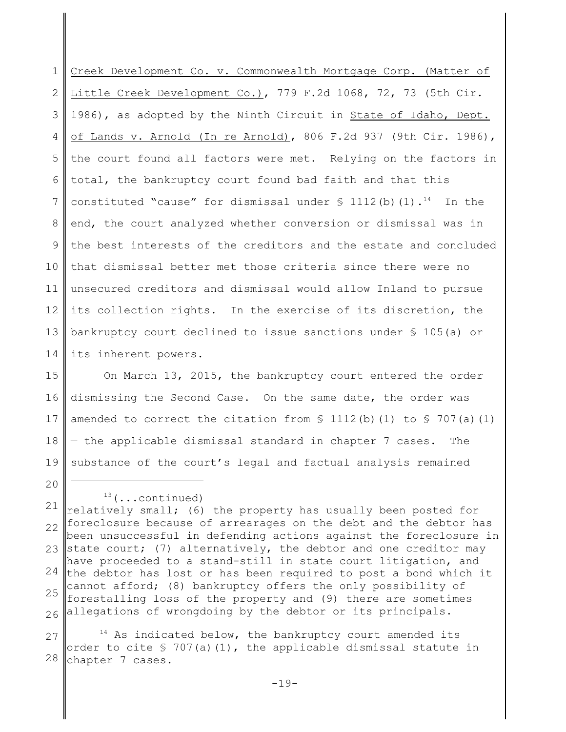1 2 3 4 5 6 7 8 9 10 11 12 13 14 Creek Development Co. v. Commonwealth Mortgage Corp. (Matter of Little Creek Development Co.), 779 F.2d 1068, 72, 73 (5th Cir. 1986), as adopted by the Ninth Circuit in State of Idaho, Dept. of Lands v. Arnold (In re Arnold), 806 F.2d 937 (9th Cir. 1986), the court found all factors were met. Relying on the factors in total, the bankruptcy court found bad faith and that this constituted "cause" for dismissal under  $\frac{1}{2}$  1112(b)(1).<sup>14</sup> In the end, the court analyzed whether conversion or dismissal was in the best interests of the creditors and the estate and concluded that dismissal better met those criteria since there were no unsecured creditors and dismissal would allow Inland to pursue its collection rights. In the exercise of its discretion, the bankruptcy court declined to issue sanctions under § 105(a) or its inherent powers.

15 16 17 18 19 On March 13, 2015, the bankruptcy court entered the order dismissing the Second Case. On the same date, the order was amended to correct the citation from  $\S$  1112(b)(1) to  $\S$  707(a)(1) — the applicable dismissal standard in chapter 7 cases. The substance of the court's legal and factual analysis remained

20

27 28  $14$  As indicated below, the bankruptcy court amended its order to cite  $\frac{1}{2}$  707(a)(1), the applicable dismissal statute in chapter 7 cases.

<sup>21</sup> 22 23 24 25 26 <sup>13</sup>(...continued) relatively small; (6) the property has usually been posted for foreclosure because of arrearages on the debt and the debtor has been unsuccessful in defending actions against the foreclosure in state court; (7) alternatively, the debtor and one creditor may have proceeded to a stand-still in state court litigation, and the debtor has lost or has been required to post a bond which it cannot afford; (8) bankruptcy offers the only possibility of forestalling loss of the property and (9) there are sometimes allegations of wrongdoing by the debtor or its principals.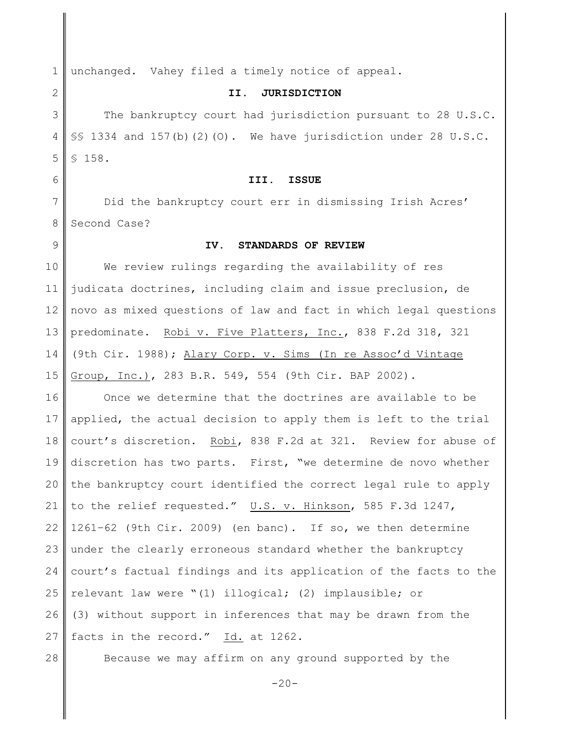1 2 3 4 5 6 7 8 9 10 11 12 13 14 15 16 17 18 19 20 21 22 23 24 25 26 27 28 unchanged. Vahey filed a timely notice of appeal. **II. JURISDICTION** The bankruptcy court had jurisdiction pursuant to 28 U.S.C. §§ 1334 and 157(b)(2)(0). We have jurisdiction under 28 U.S.C. § 158. **III. ISSUE** Did the bankruptcy court err in dismissing Irish Acres' Second Case? **IV. STANDARDS OF REVIEW** We review rulings regarding the availability of res judicata doctrines, including claim and issue preclusion, de novo as mixed questions of law and fact in which legal questions predominate. Robi v. Five Platters, Inc., 838 F.2d 318, 321 (9th Cir. 1988); Alary Corp. v. Sims (In re Assoc'd Vintage Group, Inc.), 283 B.R. 549, 554 (9th Cir. BAP 2002). Once we determine that the doctrines are available to be applied, the actual decision to apply them is left to the trial court's discretion. Robi, 838 F.2d at 321. Review for abuse of discretion has two parts. First, "we determine de novo whether the bankruptcy court identified the correct legal rule to apply to the relief requested." U.S. v. Hinkson, 585 F.3d 1247, 1261–62 (9th Cir. 2009) (en banc). If so, we then determine under the clearly erroneous standard whether the bankruptcy court's factual findings and its application of the facts to the relevant law were "(1) illogical; (2) implausible; or (3) without support in inferences that may be drawn from the facts in the record." Id. at 1262. Because we may affirm on any ground supported by the

 $-20-$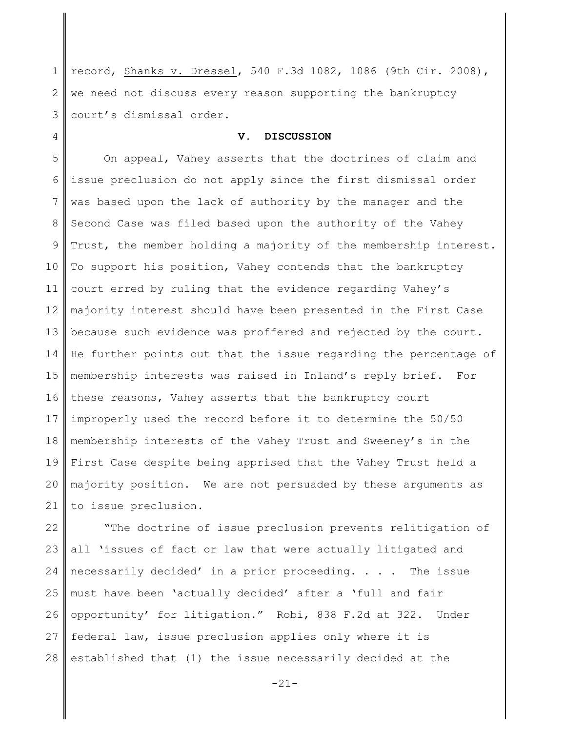1 2 3 record, Shanks v. Dressel, 540 F.3d 1082, 1086 (9th Cir. 2008), we need not discuss every reason supporting the bankruptcy court's dismissal order.

4

### **V. DISCUSSION**

5 6 7 8 9 10 11 12 13 14 15 16 17 18 19 20 21 On appeal, Vahey asserts that the doctrines of claim and issue preclusion do not apply since the first dismissal order was based upon the lack of authority by the manager and the Second Case was filed based upon the authority of the Vahey Trust, the member holding a majority of the membership interest. To support his position, Vahey contends that the bankruptcy court erred by ruling that the evidence regarding Vahey's majority interest should have been presented in the First Case because such evidence was proffered and rejected by the court. He further points out that the issue regarding the percentage of membership interests was raised in Inland's reply brief. For these reasons, Vahey asserts that the bankruptcy court improperly used the record before it to determine the 50/50 membership interests of the Vahey Trust and Sweeney's in the First Case despite being apprised that the Vahey Trust held a majority position. We are not persuaded by these arguments as to issue preclusion.

22 23 24 25 26 27 28 "The doctrine of issue preclusion prevents relitigation of all 'issues of fact or law that were actually litigated and necessarily decided' in a prior proceeding. . . . The issue must have been 'actually decided' after a 'full and fair opportunity' for litigation." Robi, 838 F.2d at 322. Under federal law, issue preclusion applies only where it is established that (1) the issue necessarily decided at the

-21-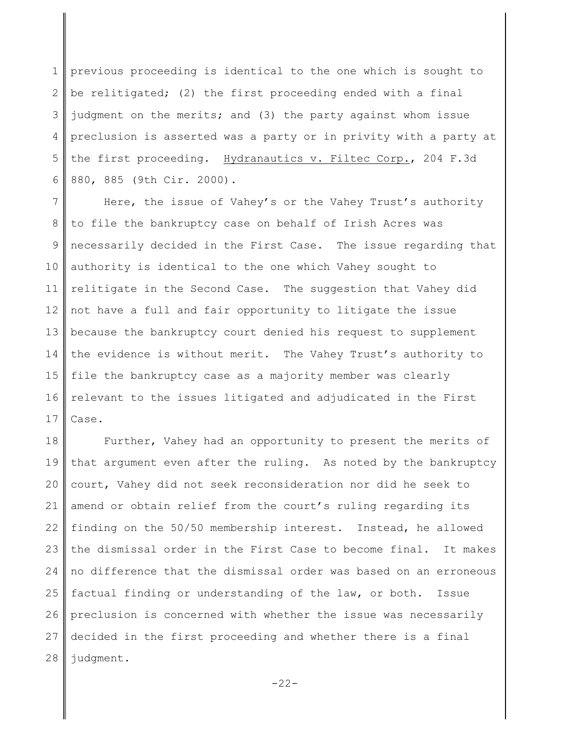1 2 3 4 5 6 previous proceeding is identical to the one which is sought to be relitigated; (2) the first proceeding ended with a final judgment on the merits; and (3) the party against whom issue preclusion is asserted was a party or in privity with a party at the first proceeding. Hydranautics v. Filtec Corp., 204 F.3d 880, 885 (9th Cir. 2000).

7 8 9 10 11 12 13 14 15 16 17 Here, the issue of Vahey's or the Vahey Trust's authority to file the bankruptcy case on behalf of Irish Acres was necessarily decided in the First Case. The issue regarding that authority is identical to the one which Vahey sought to relitigate in the Second Case. The suggestion that Vahey did not have a full and fair opportunity to litigate the issue because the bankruptcy court denied his request to supplement the evidence is without merit. The Vahey Trust's authority to file the bankruptcy case as a majority member was clearly relevant to the issues litigated and adjudicated in the First Case.

18 19 20 21 22 23 24 25 26 27 28 Further, Vahey had an opportunity to present the merits of that argument even after the ruling. As noted by the bankruptcy court, Vahey did not seek reconsideration nor did he seek to amend or obtain relief from the court's ruling regarding its finding on the 50/50 membership interest. Instead, he allowed the dismissal order in the First Case to become final. It makes no difference that the dismissal order was based on an erroneous factual finding or understanding of the law, or both. Issue preclusion is concerned with whether the issue was necessarily decided in the first proceeding and whether there is a final judgment.

-22-